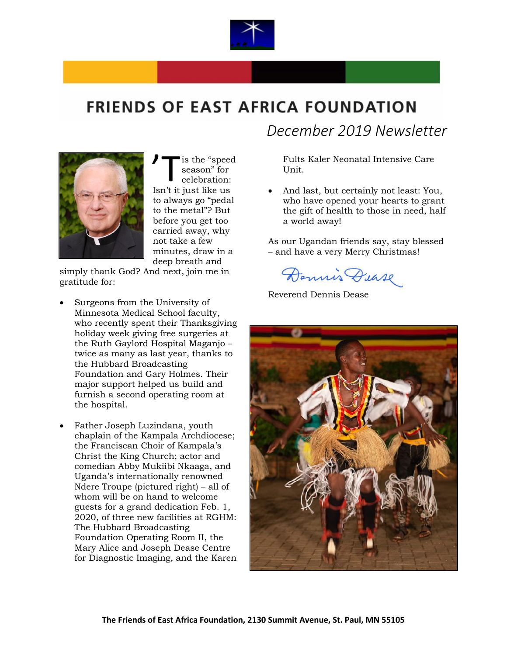

## **FRIENDS OF EAST AFRICA FOUNDATION**



is the "speed season" for celebration: Is the "speed" season" for celebration:<br>
Isn't it just like us to always go "pedal to the metal"? But before you get too carried away, why not take a few minutes, draw in a deep breath and

simply thank God? And next, join me in gratitude for:

- Surgeons from the University of Minnesota Medical School faculty, who recently spent their Thanksgiving holiday week giving free surgeries at the Ruth Gaylord Hospital Maganjo – twice as many as last year, thanks to the Hubbard Broadcasting Foundation and Gary Holmes. Their major support helped us build and furnish a second operating room at the hospital.
- Father Joseph Luzindana, youth chaplain of the Kampala Archdiocese; the Franciscan Choir of Kampala's Christ the King Church; actor and comedian Abby Mukiibi Nkaaga, and Uganda's internationally renowned Ndere Troupe (pictured right) – all of whom will be on hand to welcome guests for a grand dedication Feb. 1, 2020, of three new facilities at RGHM: The Hubbard Broadcasting Foundation Operating Room II, the Mary Alice and Joseph Dease Centre for Diagnostic Imaging, and the Karen

*December 2019 Newsletter*

Fults Kaler Neonatal Intensive Care Unit.

• And last, but certainly not least: You, who have opened your hearts to grant the gift of health to those in need, half a world away!

As our Ugandan friends say, stay blessed – and have a very Merry Christmas!

Dennis Dease

Reverend Dennis Dease

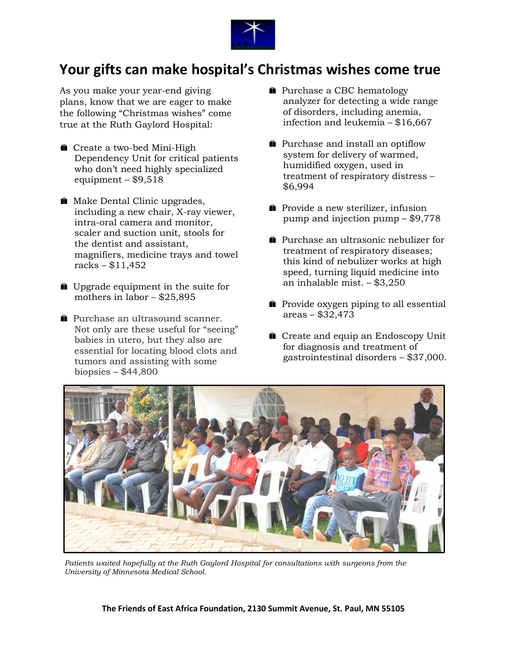

## **Your gifts can make hospital's Christmas wishes come true**

As you make your year-end giving plans, know that we are eager to make the following "Christmas wishes" come true at the Ruth Gaylord Hospital:

- Create a two-bed Mini-High Dependency Unit for critical patients who don't need highly specialized equipment –  $$9,518$
- **Make Dental Clinic upgrades,** including a new chair, X-ray viewer, intra-oral camera and monitor, scaler and suction unit, stools for the dentist and assistant, magnifiers, medicine trays and towel racks – \$11,452
- **Deparatement** in the suite for mothers in labor – \$25,895
- **Purchase an ultrasound scanner.** Not only are these useful for "seeing" babies in utero, but they also are essential for locating blood clots and tumors and assisting with some biopsies – \$44,800
- **Purchase a CBC hematology** analyzer for detecting a wide range of disorders, including anemia, infection and leukemia – \$16,667
- **n** Purchase and install an optiflow system for delivery of warmed, humidified oxygen, used in treatment of respiratory distress – \$6,994
- **Provide a new sterilizer, infusion** pump and injection pump – \$9,778
- **Purchase an ultrasonic nebulizer for** treatment of respiratory diseases; this kind of nebulizer works at high speed, turning liquid medicine into an inhalable mist. – \$3,250
- **Provide oxygen piping to all essential** areas – \$32,473
- **Create and equip an Endoscopy Unit** for diagnosis and treatment of gastrointestinal disorders – \$37,000.



*Patients waited hopefully at the Ruth Gaylord Hospital for consultations with surgeons from the University of Minnesota Medical School.*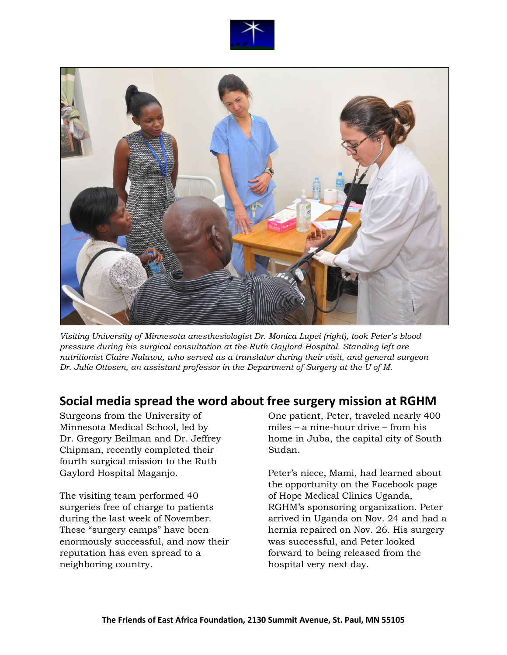



*Visiting University of Minnesota anesthesiologist Dr. Monica Lupei (right), took Peter's blood pressure during his surgical consultation at the Ruth Gaylord Hospital. Standing left are nutritionist Claire Naluwu, who served as a translator during their visit, and general surgeon Dr. Julie Ottosen, an assistant professor in the Department of Surgery at the U of M.* 

#### **Social media spread the word about free surgery mission at RGHM**

Surgeons from the University of Minnesota Medical School, led by Dr. Gregory Beilman and Dr. Jeffrey Chipman, recently completed their fourth surgical mission to the Ruth Gaylord Hospital Maganjo.

The visiting team performed 40 surgeries free of charge to patients during the last week of November. These "surgery camps" have been enormously successful, and now their reputation has even spread to a neighboring country.

One patient, Peter, traveled nearly 400 miles – a nine-hour drive – from his home in Juba, the capital city of South Sudan.

Peter's niece, Mami, had learned about the opportunity on the Facebook page of Hope Medical Clinics Uganda, RGHM's sponsoring organization. Peter arrived in Uganda on Nov. 24 and had a hernia repaired on Nov. 26. His surgery was successful, and Peter looked forward to being released from the hospital very next day.